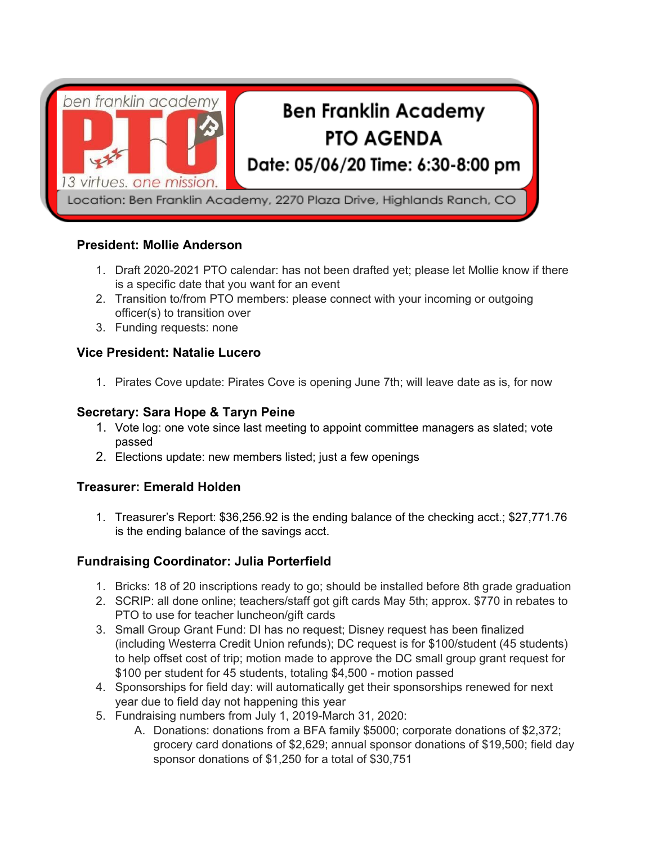

# **President: Mollie Anderson**

- 1. Draft 2020-2021 PTO calendar: has not been drafted yet; please let Mollie know if there is a specific date that you want for an event
- 2. Transition to/from PTO members: please connect with your incoming or outgoing officer(s) to transition over
- 3. Funding requests: none

### **Vice President: Natalie Lucero**

1. Pirates Cove update: Pirates Cove is opening June 7th; will leave date as is, for now

# **Secretary: Sara Hope & Taryn Peine**

- 1. Vote log: one vote since last meeting to appoint committee managers as slated; vote passed
- 2. Elections update: new members listed; just a few openings

### **Treasurer: Emerald Holden**

1. Treasurer's Report: \$36,256.92 is the ending balance of the checking acct.; \$27,771.76 is the ending balance of the savings acct.

# **Fundraising Coordinator: Julia Porterfield**

- 1. Bricks: 18 of 20 inscriptions ready to go; should be installed before 8th grade graduation
- 2. SCRIP: all done online; teachers/staff got gift cards May 5th; approx. \$770 in rebates to PTO to use for teacher luncheon/gift cards
- 3. Small Group Grant Fund: DI has no request; Disney request has been finalized (including Westerra Credit Union refunds); DC request is for \$100/student (45 students) to help offset cost of trip; motion made to approve the DC small group grant request for \$100 per student for 45 students, totaling \$4,500 - motion passed
- 4. Sponsorships for field day: will automatically get their sponsorships renewed for next year due to field day not happening this year
- 5. Fundraising numbers from July 1, 2019-March 31, 2020:
	- A. Donations: donations from a BFA family \$5000; corporate donations of \$2,372; grocery card donations of \$2,629; annual sponsor donations of \$19,500; field day sponsor donations of \$1,250 for a total of \$30,751